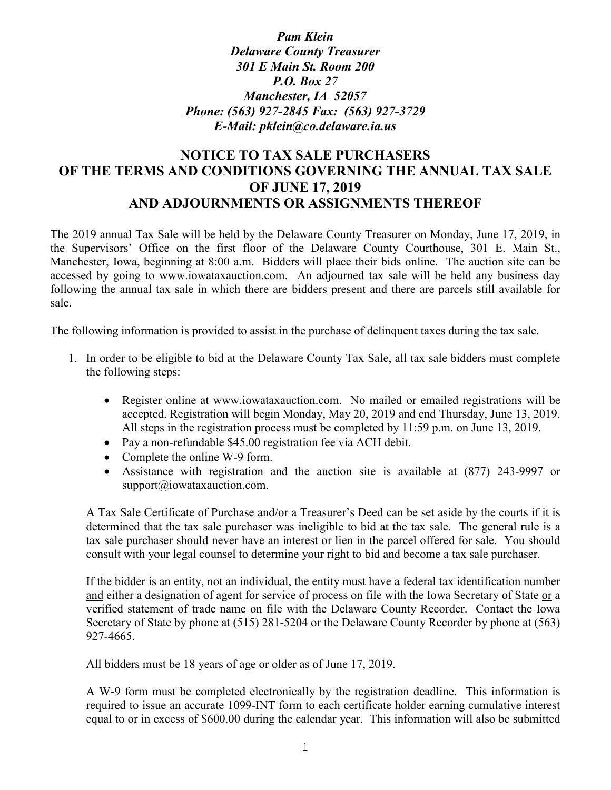*Pam Klein Delaware County Treasurer 301 E Main St. Room 200 P.O. Box 27 Manchester, IA 52057 Phone: (563) 927-2845 Fax: (563) 927-3729 E-Mail: pklein@co.delaware.ia.us*

## **NOTICE TO TAX SALE PURCHASERS OF THE TERMS AND CONDITIONS GOVERNING THE ANNUAL TAX SALE OF JUNE 17, 2019 AND ADJOURNMENTS OR ASSIGNMENTS THEREOF**

The 2019 annual Tax Sale will be held by the Delaware County Treasurer on Monday, June 17, 2019, in the Supervisors' Office on the first floor of the Delaware County Courthouse, 301 E. Main St., Manchester, Iowa, beginning at 8:00 a.m. Bidders will place their bids online. The auction site can be accessed by going to www.iowataxauction.com. An adjourned tax sale will be held any business day following the annual tax sale in which there are bidders present and there are parcels still available for sale.

The following information is provided to assist in the purchase of delinquent taxes during the tax sale.

- 1. In order to be eligible to bid at the Delaware County Tax Sale, all tax sale bidders must complete the following steps:
	- Register online at www.iowataxauction.com. No mailed or emailed registrations will be accepted. Registration will begin Monday, May 20, 2019 and end Thursday, June 13, 2019. All steps in the registration process must be completed by 11:59 p.m. on June 13, 2019.
	- Pay a non-refundable \$45.00 registration fee via ACH debit.
	- Complete the online W-9 form.
	- Assistance with registration and the auction site is available at (877) 243-9997 or support@iowataxauction.com.

A Tax Sale Certificate of Purchase and/or a Treasurer's Deed can be set aside by the courts if it is determined that the tax sale purchaser was ineligible to bid at the tax sale. The general rule is a tax sale purchaser should never have an interest or lien in the parcel offered for sale. You should consult with your legal counsel to determine your right to bid and become a tax sale purchaser.

If the bidder is an entity, not an individual, the entity must have a federal tax identification number and either a designation of agent for service of process on file with the Iowa Secretary of State or a verified statement of trade name on file with the Delaware County Recorder. Contact the Iowa Secretary of State by phone at (515) 281-5204 or the Delaware County Recorder by phone at (563) 927-4665.

All bidders must be 18 years of age or older as of June 17, 2019.

A W-9 form must be completed electronically by the registration deadline. This information is required to issue an accurate 1099-INT form to each certificate holder earning cumulative interest equal to or in excess of \$600.00 during the calendar year. This information will also be submitted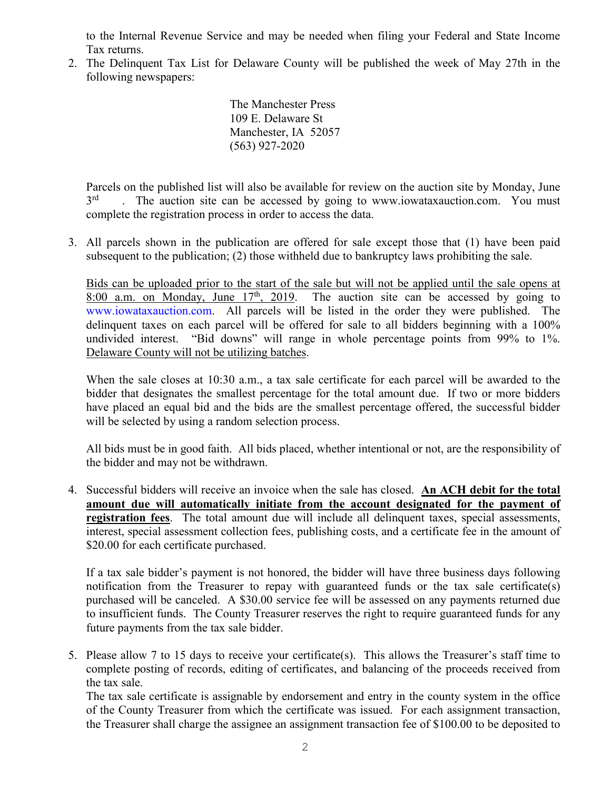to the Internal Revenue Service and may be needed when filing your Federal and State Income Tax returns.

2. The Delinquent Tax List for Delaware County will be published the week of May 27th in the following newspapers:

> The Manchester Press 109 E. Delaware St Manchester, IA 52057 (563) 927-2020

Parcels on the published list will also be available for review on the auction site by Monday, June 3<sup>rd</sup> . The auction site can be accessed by going to www.iowataxauction.com. You must complete the registration process in order to access the data.

3. All parcels shown in the publication are offered for sale except those that (1) have been paid subsequent to the publication; (2) those withheld due to bankruptcy laws prohibiting the sale.

Bids can be uploaded prior to the start of the sale but will not be applied until the sale opens at  $8:00$  a.m. on Monday, June  $17<sup>th</sup>$ , 2019. The auction site can be accessed by going to The auction site can be accessed by going to [www.iowataxauction.com.](http://www.iowataxauction.com/) All parcels will be listed in the order they were published. The delinquent taxes on each parcel will be offered for sale to all bidders beginning with a 100% undivided interest. "Bid downs" will range in whole percentage points from 99% to 1%. Delaware County will not be utilizing batches.

When the sale closes at 10:30 a.m., a tax sale certificate for each parcel will be awarded to the bidder that designates the smallest percentage for the total amount due. If two or more bidders have placed an equal bid and the bids are the smallest percentage offered, the successful bidder will be selected by using a random selection process.

All bids must be in good faith. All bids placed, whether intentional or not, are the responsibility of the bidder and may not be withdrawn.

4. Successful bidders will receive an invoice when the sale has closed. **An ACH debit for the total amount due will automatically initiate from the account designated for the payment of registration fees**. The total amount due will include all delinquent taxes, special assessments, interest, special assessment collection fees, publishing costs, and a certificate fee in the amount of \$20.00 for each certificate purchased.

If a tax sale bidder's payment is not honored, the bidder will have three business days following notification from the Treasurer to repay with guaranteed funds or the tax sale certificate(s) purchased will be canceled. A \$30.00 service fee will be assessed on any payments returned due to insufficient funds. The County Treasurer reserves the right to require guaranteed funds for any future payments from the tax sale bidder.

5. Please allow 7 to 15 days to receive your certificate(s). This allows the Treasurer's staff time to complete posting of records, editing of certificates, and balancing of the proceeds received from the tax sale.

The tax sale certificate is assignable by endorsement and entry in the county system in the office of the County Treasurer from which the certificate was issued. For each assignment transaction, the Treasurer shall charge the assignee an assignment transaction fee of \$100.00 to be deposited to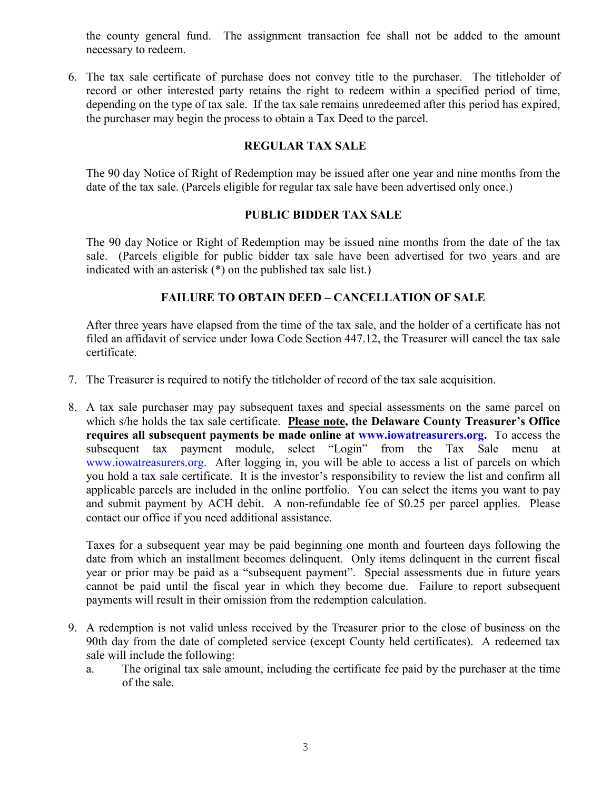the county general fund. The assignment transaction fee shall not be added to the amount necessary to redeem.

6. The tax sale certificate of purchase does not convey title to the purchaser. The titleholder of record or other interested party retains the right to redeem within a specified period of time, depending on the type of tax sale. If the tax sale remains unredeemed after this period has expired, the purchaser may begin the process to obtain a Tax Deed to the parcel.

## **REGULAR TAX SALE**

The 90 day Notice of Right of Redemption may be issued after one year and nine months from the date of the tax sale. (Parcels eligible for regular tax sale have been advertised only once.)

## **PUBLIC BIDDER TAX SALE**

The 90 day Notice or Right of Redemption may be issued nine months from the date of the tax sale. (Parcels eligible for public bidder tax sale have been advertised for two years and are indicated with an asterisk (\*) on the published tax sale list.)

## **FAILURE TO OBTAIN DEED – CANCELLATION OF SALE**

After three years have elapsed from the time of the tax sale, and the holder of a certificate has not filed an affidavit of service under Iowa Code Section 447.12, the Treasurer will cancel the tax sale certificate.

- 7. The Treasurer is required to notify the titleholder of record of the tax sale acquisition.
- 8. A tax sale purchaser may pay subsequent taxes and special assessments on the same parcel on which s/he holds the tax sale certificate. **Please note, the Delaware County Treasurer's Office requires all subsequent payments be made online at [www.iowatreasurers.org.](http://www.iowatreasurers.org/)** To access the subsequent tax payment module, select "Login" from the Tax Sale menu at [www.iowatreasurers.org.](http://www.iowatreasurers.org/)After logging in, you will be able to access a list of parcels on which you hold a tax sale certificate. It is the investor's responsibility to review the list and confirm all applicable parcels are included in the online portfolio. You can select the items you want to pay and submit payment by ACH debit. A non-refundable fee of \$0.25 per parcel applies. Please contact our office if you need additional assistance.

Taxes for a subsequent year may be paid beginning one month and fourteen days following the date from which an installment becomes delinquent. Only items delinquent in the current fiscal year or prior may be paid as a "subsequent payment". Special assessments due in future years cannot be paid until the fiscal year in which they become due. Failure to report subsequent payments will result in their omission from the redemption calculation.

- 9. A redemption is not valid unless received by the Treasurer prior to the close of business on the 90th day from the date of completed service (except County held certificates). A redeemed tax sale will include the following:
	- a. The original tax sale amount, including the certificate fee paid by the purchaser at the time of the sale.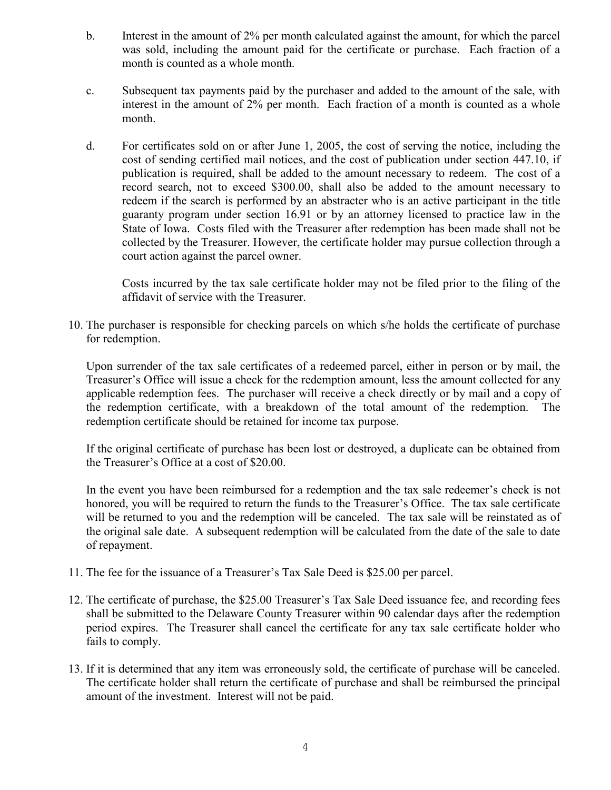- b. Interest in the amount of 2% per month calculated against the amount, for which the parcel was sold, including the amount paid for the certificate or purchase. Each fraction of a month is counted as a whole month.
- c. Subsequent tax payments paid by the purchaser and added to the amount of the sale, with interest in the amount of 2% per month. Each fraction of a month is counted as a whole month.
- d. For certificates sold on or after June 1, 2005, the cost of serving the notice, including the cost of sending certified mail notices, and the cost of publication under section 447.10, if publication is required, shall be added to the amount necessary to redeem. The cost of a record search, not to exceed \$300.00, shall also be added to the amount necessary to redeem if the search is performed by an abstracter who is an active participant in the title guaranty program under section 16.91 or by an attorney licensed to practice law in the State of Iowa. Costs filed with the Treasurer after redemption has been made shall not be collected by the Treasurer. However, the certificate holder may pursue collection through a court action against the parcel owner.

Costs incurred by the tax sale certificate holder may not be filed prior to the filing of the affidavit of service with the Treasurer.

10. The purchaser is responsible for checking parcels on which s/he holds the certificate of purchase for redemption.

Upon surrender of the tax sale certificates of a redeemed parcel, either in person or by mail, the Treasurer's Office will issue a check for the redemption amount, less the amount collected for any applicable redemption fees. The purchaser will receive a check directly or by mail and a copy of the redemption certificate, with a breakdown of the total amount of the redemption. The redemption certificate should be retained for income tax purpose.

If the original certificate of purchase has been lost or destroyed, a duplicate can be obtained from the Treasurer's Office at a cost of \$20.00.

In the event you have been reimbursed for a redemption and the tax sale redeemer's check is not honored, you will be required to return the funds to the Treasurer's Office. The tax sale certificate will be returned to you and the redemption will be canceled. The tax sale will be reinstated as of the original sale date. A subsequent redemption will be calculated from the date of the sale to date of repayment.

- 11. The fee for the issuance of a Treasurer's Tax Sale Deed is \$25.00 per parcel.
- 12. The certificate of purchase, the \$25.00 Treasurer's Tax Sale Deed issuance fee, and recording fees shall be submitted to the Delaware County Treasurer within 90 calendar days after the redemption period expires. The Treasurer shall cancel the certificate for any tax sale certificate holder who fails to comply.
- 13. If it is determined that any item was erroneously sold, the certificate of purchase will be canceled. The certificate holder shall return the certificate of purchase and shall be reimbursed the principal amount of the investment. Interest will not be paid.